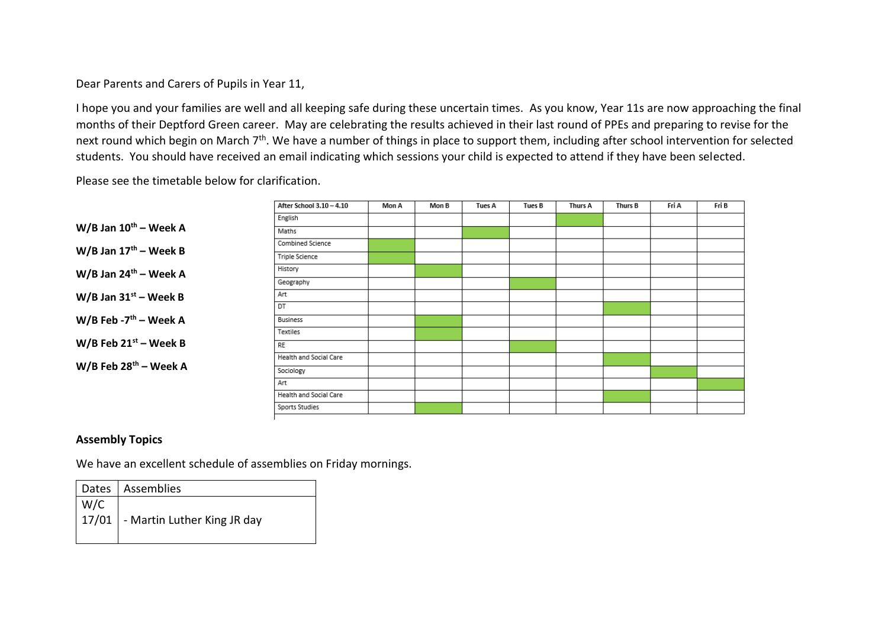## Dear Parents and Carers of Pupils in Year 11,

I hope you and your families are well and all keeping safe during these uncertain times. As you know, Year 11s are now approaching the final months of their Deptford Green career. May are celebrating the results achieved in their last round of PPEs and preparing to revise for the next round which begin on March 7<sup>th</sup>. We have a number of things in place to support them, including after school intervention for selected students. You should have received an email indicating which sessions your child is expected to attend if they have been selected.

Please see the timetable below for clarification.

|                                     | After School 3.10 - 4.10 | Mon A | Mon B | <b>Tues A</b> | Tues B | <b>Thurs A</b> | Thurs B | Fri A | Fri B |
|-------------------------------------|--------------------------|-------|-------|---------------|--------|----------------|---------|-------|-------|
|                                     | English                  |       |       |               |        |                |         |       |       |
| $W/B$ Jan $10^{th}$ – Week A        | Maths                    |       |       |               |        |                |         |       |       |
| $W/B$ Jan $17th$ – Week B           | Combined Science         |       |       |               |        |                |         |       |       |
|                                     | Triple Science           |       |       |               |        |                |         |       |       |
| $W/B$ Jan 24 <sup>th</sup> – Week A | History                  |       |       |               |        |                |         |       |       |
|                                     | Geography                |       |       |               |        |                |         |       |       |
| $W/B$ Jan 31st – Week B             | Art                      |       |       |               |        |                |         |       |       |
|                                     | DT                       |       |       |               |        |                |         |       |       |
| W/B Feb - $7th$ – Week A            | Business                 |       |       |               |        |                |         |       |       |
|                                     | Textiles                 |       |       |               |        |                |         |       |       |
| W/B Feb $21^{st}$ – Week B          | RE                       |       |       |               |        |                |         |       |       |
|                                     | Health and Social Care   |       |       |               |        |                |         |       |       |
| $W/B$ Feb 28 <sup>th</sup> – Week A | Sociology                |       |       |               |        |                |         |       |       |
|                                     | Art                      |       |       |               |        |                |         |       |       |
|                                     | Health and Social Care   |       |       |               |        |                |         |       |       |
|                                     | Sports Studies           |       |       |               |        |                |         |       |       |

#### **Assembly Topics**

We have an excellent schedule of assemblies on Friday mornings.

|     | Dates   Assemblies                         |
|-----|--------------------------------------------|
| W/C |                                            |
|     | $\mid$ 17/01   - Martin Luther King JR day |
|     |                                            |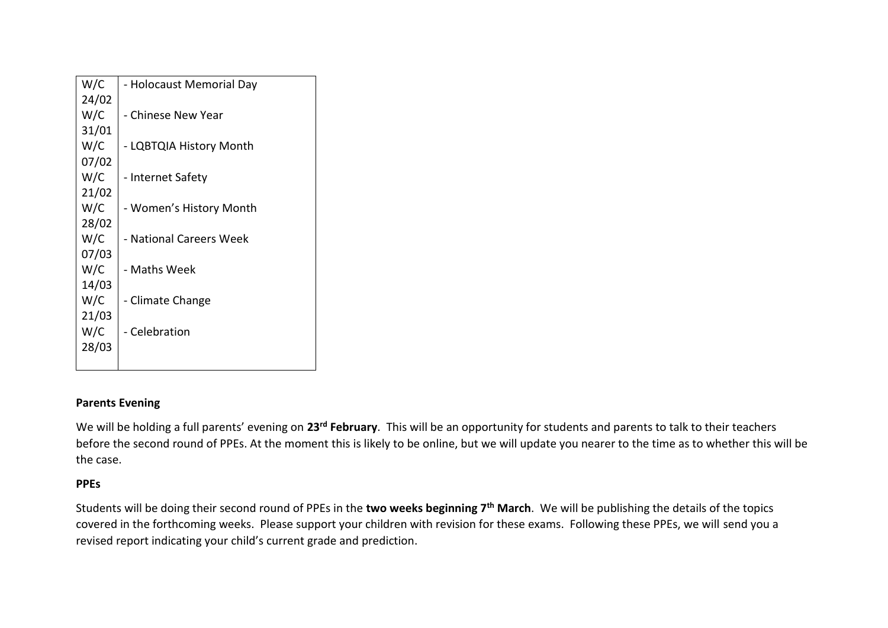| W/C   | - Holocaust Memorial Day |
|-------|--------------------------|
| 24/02 |                          |
| W/C   | - Chinese New Year       |
| 31/01 |                          |
| W/C   | - LQBTQIA History Month  |
| 07/02 |                          |
| W/C   | - Internet Safety        |
| 21/02 |                          |
| W/C   | - Women's History Month  |
| 28/02 |                          |
| W/C   | - National Careers Week  |
| 07/03 |                          |
| W/C   | - Maths Week             |
| 14/03 |                          |
| W/C   | - Climate Change         |
| 21/03 |                          |
| W/C   | - Celebration            |
| 28/03 |                          |
|       |                          |

# **Parents Evening**

We will be holding a full parents' evening on **23rd February**. This will be an opportunity for students and parents to talk to their teachers before the second round of PPEs. At the moment this is likely to be online, but we will update you nearer to the time as to whether this will be the case.

# **PPEs**

Students will be doing their second round of PPEs in the **two weeks beginning 7th March**. We will be publishing the details of the topics covered in the forthcoming weeks. Please support your children with revision for these exams. Following these PPEs, we will send you a revised report indicating your child's current grade and prediction.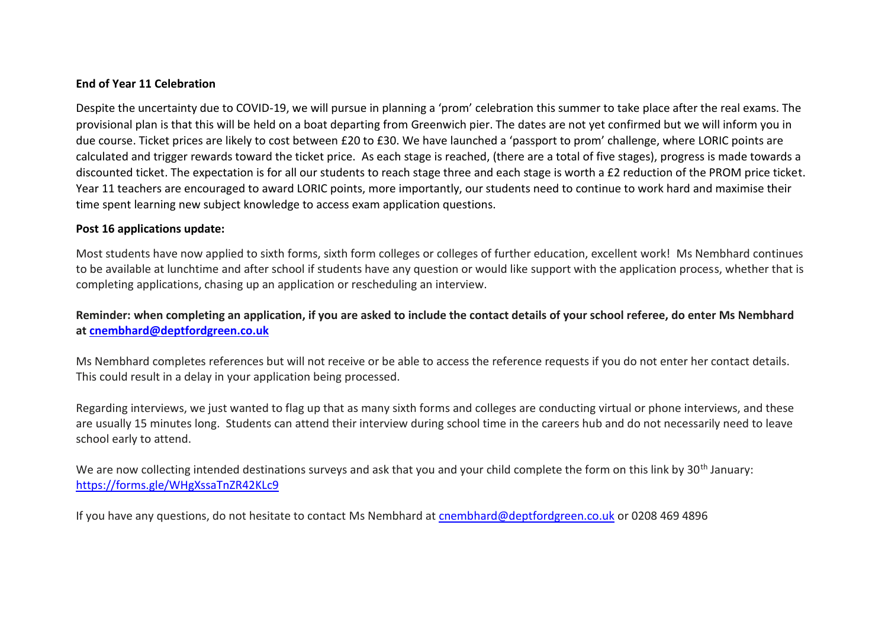#### **End of Year 11 Celebration**

Despite the uncertainty due to COVID-19, we will pursue in planning a 'prom' celebration this summer to take place after the real exams. The provisional plan is that this will be held on a boat departing from Greenwich pier. The dates are not yet confirmed but we will inform you in due course. Ticket prices are likely to cost between £20 to £30. We have launched a 'passport to prom' challenge, where LORIC points are calculated and trigger rewards toward the ticket price. As each stage is reached, (there are a total of five stages), progress is made towards a discounted ticket. The expectation is for all our students to reach stage three and each stage is worth a £2 reduction of the PROM price ticket. Year 11 teachers are encouraged to award LORIC points, more importantly, our students need to continue to work hard and maximise their time spent learning new subject knowledge to access exam application questions.

#### **Post 16 applications update:**

Most students have now applied to sixth forms, sixth form colleges or colleges of further education, excellent work! Ms Nembhard continues to be available at lunchtime and after school if students have any question or would like support with the application process, whether that is completing applications, chasing up an application or rescheduling an interview.

# **Reminder: when completing an application, if you are asked to include the contact details of your school referee, do enter Ms Nembhard at [cnembhard@deptfordgreen.co.uk](mailto:cnembhard@deptfordgreen.co.uk)**

Ms Nembhard completes references but will not receive or be able to access the reference requests if you do not enter her contact details. This could result in a delay in your application being processed.

Regarding interviews, we just wanted to flag up that as many sixth forms and colleges are conducting virtual or phone interviews, and these are usually 15 minutes long. Students can attend their interview during school time in the careers hub and do not necessarily need to leave school early to attend.

We are now collecting intended destinations surveys and ask that you and your child complete the form on this link by 30<sup>th</sup> January: <https://forms.gle/WHgXssaTnZR42KLc9>

If you have any questions, do not hesitate to contact Ms Nembhard at [cnembhard@deptfordgreen.co.uk](mailto:cnembhard@deptfordgreen.co.uk) or 0208 469 4896